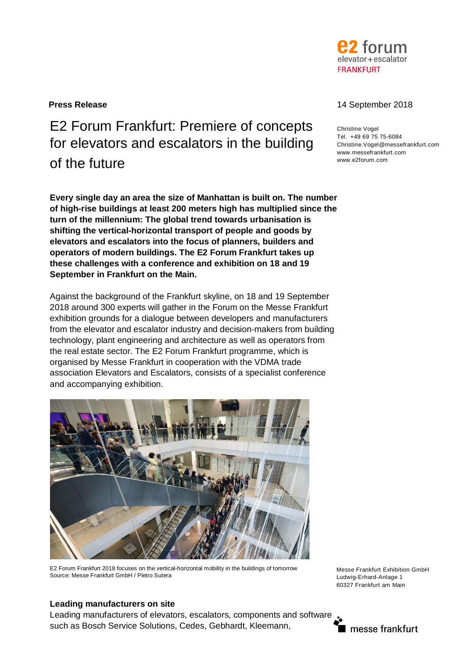

# E2 Forum Frankfurt: Premiere of concepts for elevators and escalators in the building of the future  $\mathbf{r}$

**Every single day an area the size of Manhattan is built on. The number of high-rise buildings at least 200 meters high has multiplied since the turn of the millennium: The global trend towards urbanisation is shifting the vertical-horizontal transport of people and goods by elevators and escalators into the focus of planners, builders and operators of modern buildings. The E2 Forum Frankfurt takes up these challenges with a conference and exhibition on 18 and 19 September in Frankfurt on the Main.**

Against the background of the Frankfurt skyline, on 18 and 19 September 2018 around 300 experts will gather in the Forum on the Messe Frankfurt exhibition grounds for a dialogue between developers and manufacturers from the elevator and escalator industry and decision-makers from building technology, plant engineering and architecture as well as operators from the real estate sector. The E2 Forum Frankfurt programme, which is organised by Messe Frankfurt in cooperation with the VDMA trade association Elevators and Escalators, consists of a specialist conference and accompanying exhibition.



E2 Forum Frankfurt 2018 focuses on the vertical-horizontal mobility in the buildings of tomorrow Source: Messe Frankfurt GmbH / Pietro Sutera

Messe Frankfurt Exhibition GmbH Ludwig-Erhard-Anlage 1 60327 Frankfurt am Main

# **Leading manufacturers on site**

Leading manufacturers of elevators, escalators, components and software such as Bosch Service Solutions, Cedes, Gebhardt, Kleemann,

## **Press Release** 14 September 2018

Christine Vogel Tel. +49 69 75 75-6084 Christine.Vogel@messefrankfurt.com www.messefrankfurt.com

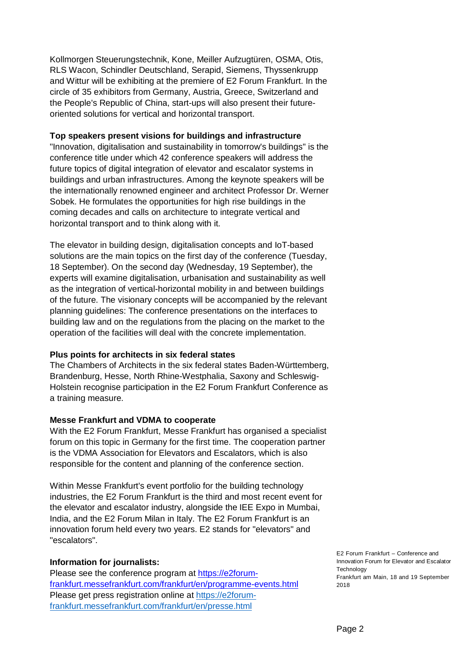Kollmorgen Steuerungstechnik, Kone, Meiller Aufzugtüren, OSMA, Otis, RLS Wacon, Schindler Deutschland, Serapid, Siemens, Thyssenkrupp and Wittur will be exhibiting at the premiere of E2 Forum Frankfurt. In the circle of 35 exhibitors from Germany, Austria, Greece, Switzerland and the People's Republic of China, start-ups will also present their futureoriented solutions for vertical and horizontal transport.

#### **Top speakers present visions for buildings and infrastructure**

"Innovation, digitalisation and sustainability in tomorrow's buildings" is the conference title under which 42 conference speakers will address the future topics of digital integration of elevator and escalator systems in buildings and urban infrastructures. Among the keynote speakers will be the internationally renowned engineer and architect Professor Dr. Werner Sobek. He formulates the opportunities for high rise buildings in the coming decades and calls on architecture to integrate vertical and horizontal transport and to think along with it.

The elevator in building design, digitalisation concepts and IoT-based solutions are the main topics on the first day of the conference (Tuesday, 18 September). On the second day (Wednesday, 19 September), the experts will examine digitalisation, urbanisation and sustainability as well as the integration of vertical-horizontal mobility in and between buildings of the future. The visionary concepts will be accompanied by the relevant planning guidelines: The conference presentations on the interfaces to building law and on the regulations from the placing on the market to the operation of the facilities will deal with the concrete implementation.

## **Plus points for architects in six federal states**

The Chambers of Architects in the six federal states Baden-Württemberg, Brandenburg, Hesse, North Rhine-Westphalia, Saxony and Schleswig-Holstein recognise participation in the E2 Forum Frankfurt Conference as a training measure.

## **Messe Frankfurt and VDMA to cooperate**

With the E2 Forum Frankfurt, Messe Frankfurt has organised a specialist forum on this topic in Germany for the first time. The cooperation partner is the VDMA Association for Elevators and Escalators, which is also responsible for the content and planning of the conference section.

Within Messe Frankfurt's event portfolio for the building technology industries, the E2 Forum Frankfurt is the third and most recent event for the elevator and escalator industry, alongside the IEE Expo in Mumbai, India, and the E2 Forum Milan in Italy. The E2 Forum Frankfurt is an innovation forum held every two years. E2 stands for "elevators" and "escalators".

## **Information for journalists:**

Please see the conference program at https://e2forumfrankfurt.messefrankfurt.com/frankfurt/en/programme-events.html Please get press registration online at https://e2forumfrankfurt.messefrankfurt.com/frankfurt/en/presse.html

E2 Forum Frankfurt – Conference and Innovation Forum for Elevator and Escalator **Technology** Frankfurt am Main, 18 and 19 September 2018